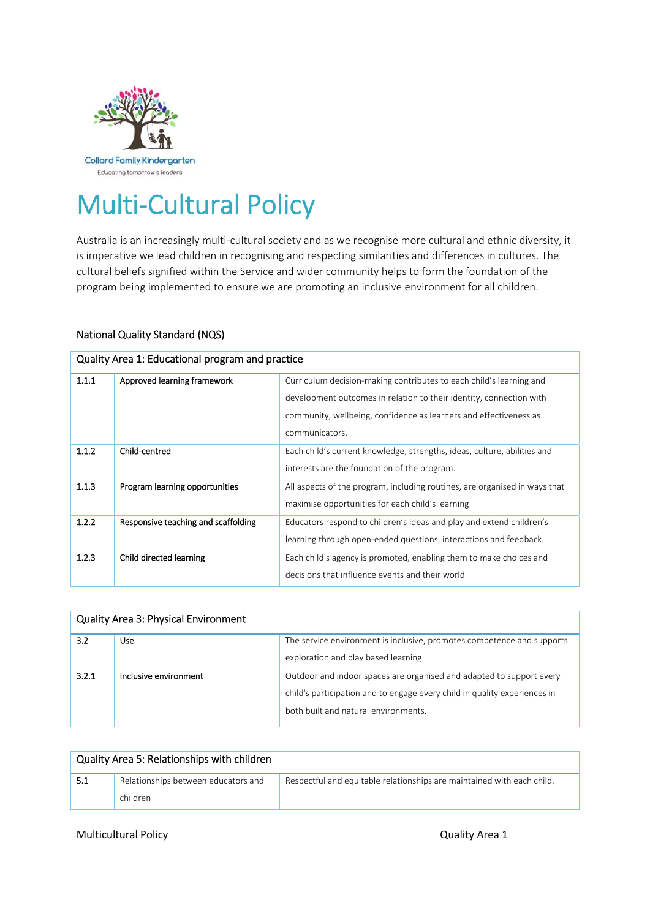

# Multi‐Cultural Policy

Australia is an increasingly multi‐cultural society and as we recognise more cultural and ethnic diversity, it is imperative we lead children in recognising and respecting similarities and differences in cultures. The cultural beliefs signified within the Service and wider community helps to form the foundation of the program being implemented to ensure we are promoting an inclusive environment for all children.

# National Quality Standard (NQS)

| Quality Area 1: Educational program and practice |                                     |                                                                            |
|--------------------------------------------------|-------------------------------------|----------------------------------------------------------------------------|
| 1.1.1                                            | Approved learning framework         | Curriculum decision-making contributes to each child's learning and        |
|                                                  |                                     | development outcomes in relation to their identity, connection with        |
|                                                  |                                     | community, wellbeing, confidence as learners and effectiveness as          |
|                                                  |                                     | communicators.                                                             |
| 1.1.2                                            | Child-centred                       | Each child's current knowledge, strengths, ideas, culture, abilities and   |
|                                                  |                                     | interests are the foundation of the program.                               |
| 1.1.3                                            | Program learning opportunities      | All aspects of the program, including routines, are organised in ways that |
|                                                  |                                     | maximise opportunities for each child's learning                           |
| 1.2.2                                            | Responsive teaching and scaffolding | Educators respond to children's ideas and play and extend children's       |
|                                                  |                                     | learning through open-ended questions, interactions and feedback.          |
| 1.2.3                                            | Child directed learning             | Each child's agency is promoted, enabling them to make choices and         |
|                                                  |                                     | decisions that influence events and their world                            |

| <b>Quality Area 3: Physical Environment</b> |                       |                                                                                                                                                                                           |
|---------------------------------------------|-----------------------|-------------------------------------------------------------------------------------------------------------------------------------------------------------------------------------------|
| 3.2                                         | <b>Use</b>            | The service environment is inclusive, promotes competence and supports<br>exploration and play based learning                                                                             |
| 3.2.1                                       | Inclusive environment | Outdoor and indoor spaces are organised and adapted to support every<br>child's participation and to engage every child in quality experiences in<br>both built and natural environments. |

|      | Quality Area 5: Relationships with children |                                                                        |  |
|------|---------------------------------------------|------------------------------------------------------------------------|--|
| -5.1 | Relationships between educators and         | Respectful and equitable relationships are maintained with each child. |  |
|      | children                                    |                                                                        |  |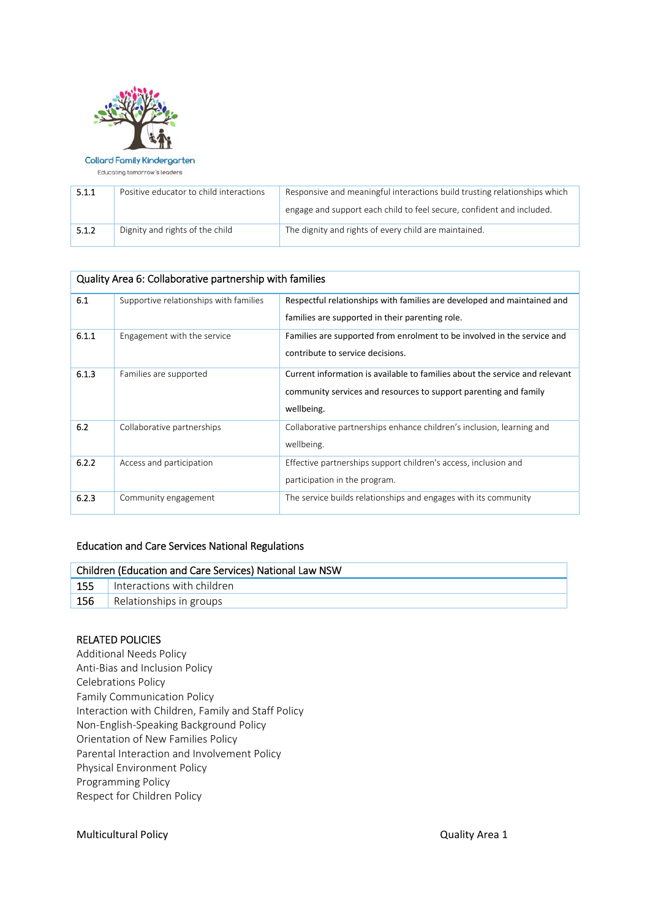

#### Collard Family Kindergarten

Educating tomorrow's leaders

| 5.1.1 | Positive educator to child interactions | Responsive and meaningful interactions build trusting relationships which |  |
|-------|-----------------------------------------|---------------------------------------------------------------------------|--|
|       |                                         | engage and support each child to feel secure, confident and included.     |  |
| 5.1.2 | Dignity and rights of the child         | The dignity and rights of every child are maintained.                     |  |

| Quality Area 6: Collaborative partnership with families |                                        |                                                                             |  |
|---------------------------------------------------------|----------------------------------------|-----------------------------------------------------------------------------|--|
| 6.1                                                     | Supportive relationships with families | Respectful relationships with families are developed and maintained and     |  |
|                                                         |                                        | families are supported in their parenting role.                             |  |
| 6.1.1                                                   | Engagement with the service            | Families are supported from enrolment to be involved in the service and     |  |
|                                                         |                                        | contribute to service decisions.                                            |  |
| 6.1.3                                                   | Families are supported                 | Current information is available to families about the service and relevant |  |
|                                                         |                                        | community services and resources to support parenting and family            |  |
|                                                         |                                        | wellbeing.                                                                  |  |
| 6.2                                                     | Collaborative partnerships             | Collaborative partnerships enhance children's inclusion, learning and       |  |
|                                                         |                                        | wellbeing.                                                                  |  |
| 6.2.2                                                   | Access and participation               | Effective partnerships support children's access, inclusion and             |  |
|                                                         |                                        | participation in the program.                                               |  |
| 6.2.3                                                   | Community engagement                   | The service builds relationships and engages with its community             |  |

# Education and Care Services National Regulations

| Children (Education and Care Services) National Law NSW |                            |  |
|---------------------------------------------------------|----------------------------|--|
| 155                                                     | Interactions with children |  |
| 156                                                     | Relationships in groups    |  |

# RELATED POLICIES

Additional Needs Policy Anti‐Bias and Inclusion Policy Celebrations Policy Family Communication Policy Interaction with Children, Family and Staff Policy Non‐English‐Speaking Background Policy Orientation of New Families Policy Parental Interaction and Involvement Policy Physical Environment Policy Programming Policy Respect for Children Policy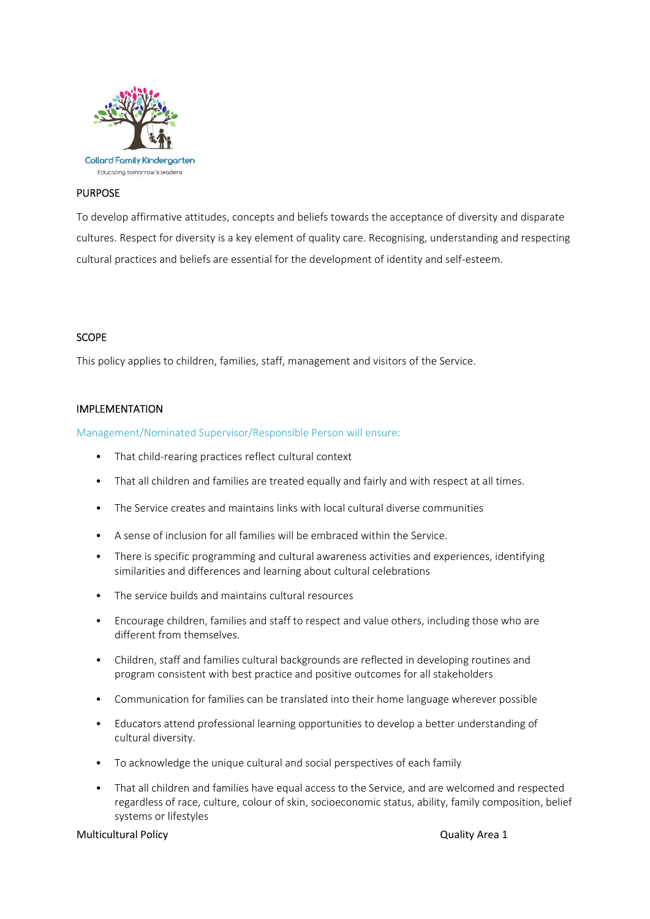

# PURPOSE

To develop affirmative attitudes, concepts and beliefs towards the acceptance of diversity and disparate cultures. Respect for diversity is a key element of quality care. Recognising, understanding and respecting cultural practices and beliefs are essential for the development of identity and self‐esteem.

#### **SCOPE**

This policy applies to children, families, staff, management and visitors of the Service.

#### IMPLEMENTATION

Management/Nominated Supervisor/Responsible Person will ensure:

- That child-rearing practices reflect cultural context
- That all children and families are treated equally and fairly and with respect at all times.
- The Service creates and maintains links with local cultural diverse communities
- A sense of inclusion for all families will be embraced within the Service.
- There is specific programming and cultural awareness activities and experiences, identifying similarities and differences and learning about cultural celebrations
- The service builds and maintains cultural resources
- Encourage children, families and staff to respect and value others, including those who are different from themselves.
- Children, staff and families cultural backgrounds are reflected in developing routines and program consistent with best practice and positive outcomes for all stakeholders
- Communication for families can be translated into their home language wherever possible
- Educators attend professional learning opportunities to develop a better understanding of cultural diversity.
- To acknowledge the unique cultural and social perspectives of each family
- That all children and families have equal access to the Service, and are welcomed and respected regardless of race, culture, colour of skin, socioeconomic status, ability, family composition, belief systems or lifestyles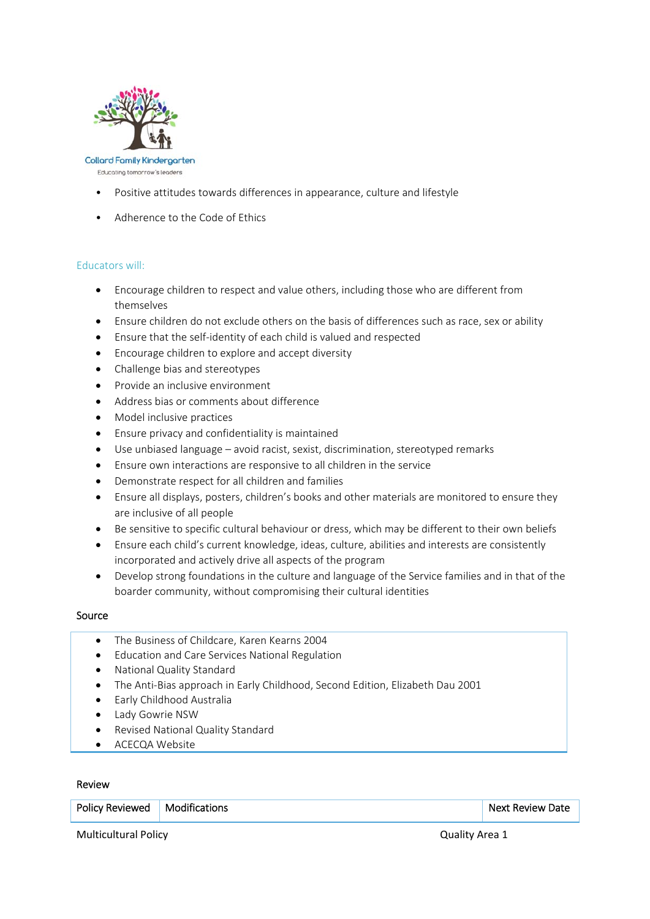

Educating tomorrow's leaders

- Positive attitudes towards differences in appearance, culture and lifestyle
- Adherence to the Code of Ethics

#### Educators will:

- Encourage children to respect and value others, including those who are different from themselves
- Ensure children do not exclude others on the basis of differences such as race, sex or ability
- Ensure that the self‐identity of each child is valued and respected
- Encourage children to explore and accept diversity
- Challenge bias and stereotypes
- Provide an inclusive environment
- Address bias or comments about difference
- Model inclusive practices
- Ensure privacy and confidentiality is maintained
- Use unbiased language avoid racist, sexist, discrimination, stereotyped remarks
- Ensure own interactions are responsive to all children in the service
- Demonstrate respect for all children and families
- Ensure all displays, posters, children's books and other materials are monitored to ensure they are inclusive of all people
- Be sensitive to specific cultural behaviour or dress, which may be different to their own beliefs
- Ensure each child's current knowledge, ideas, culture, abilities and interests are consistently incorporated and actively drive all aspects of the program
- Develop strong foundations in the culture and language of the Service families and in that of the boarder community, without compromising their cultural identities

#### Source

- The Business of Childcare, Karen Kearns 2004
- Education and Care Services National Regulation
- National Quality Standard
- The Anti‐Bias approach in Early Childhood, Second Edition, Elizabeth Dau 2001
- **•** Early Childhood Australia
- Lady Gowrie NSW
- Revised National Quality Standard
- ACECQA Website

#### Review

| <b>Policy Reviewed</b> | Modifications | <b>Next Review Date</b> |
|------------------------|---------------|-------------------------|
|                        |               |                         |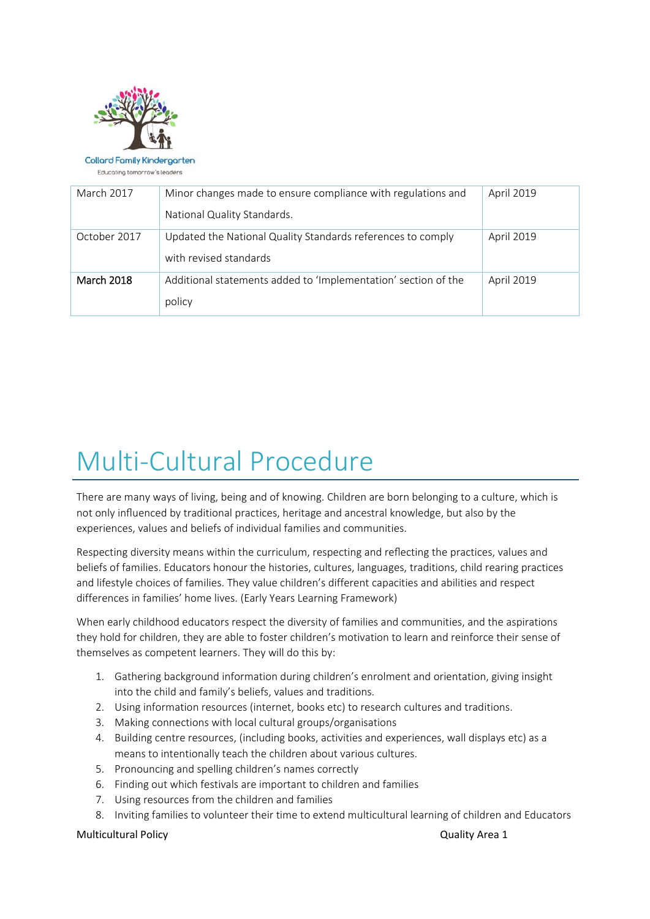

Collard Family Kindergarten

Educating tomorrow's leaders

| March 2017        | Minor changes made to ensure compliance with regulations and   | April 2019        |
|-------------------|----------------------------------------------------------------|-------------------|
|                   | National Quality Standards.                                    |                   |
| October 2017      | Updated the National Quality Standards references to comply    | <b>April 2019</b> |
|                   | with revised standards                                         |                   |
| <b>March 2018</b> | Additional statements added to 'Implementation' section of the | April 2019        |
|                   | policy                                                         |                   |

# Multi‐Cultural Procedure

There are many ways of living, being and of knowing. Children are born belonging to a culture, which is not only influenced by traditional practices, heritage and ancestral knowledge, but also by the experiences, values and beliefs of individual families and communities.

Respecting diversity means within the curriculum, respecting and reflecting the practices, values and beliefs of families. Educators honour the histories, cultures, languages, traditions, child rearing practices and lifestyle choices of families. They value children's different capacities and abilities and respect differences in families' home lives. (Early Years Learning Framework)

When early childhood educators respect the diversity of families and communities, and the aspirations they hold for children, they are able to foster children's motivation to learn and reinforce their sense of themselves as competent learners. They will do this by:

- 1. Gathering background information during children's enrolment and orientation, giving insight into the child and family's beliefs, values and traditions.
- 2. Using information resources (internet, books etc) to research cultures and traditions.
- 3. Making connections with local cultural groups/organisations
- 4. Building centre resources, (including books, activities and experiences, wall displays etc) as a means to intentionally teach the children about various cultures.
- 5. Pronouncing and spelling children's names correctly
- 6. Finding out which festivals are important to children and families
- 7. Using resources from the children and families
- 8. Inviting families to volunteer their time to extend multicultural learning of children and Educators

Multicultural Policy **Multicultural Policy 12 Section 12 Section 12 Section 2 Section 2 Section 2 Section 2 Section 2 Section 2 Section 2 Section 2 Section 2 Section 2 Section 2 Section 2 Section 2 Section 2 Section 2 S**